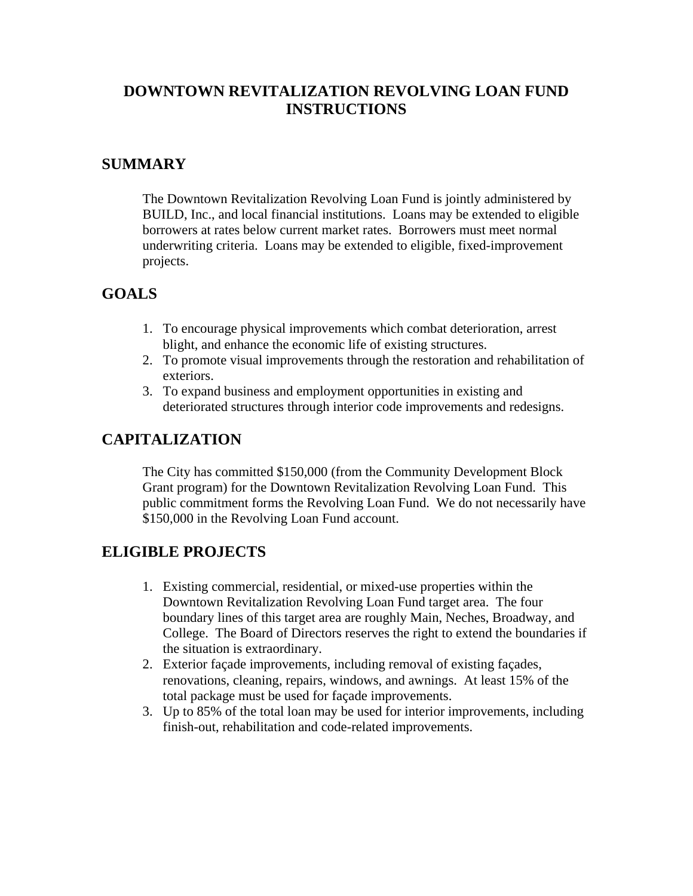## **DOWNTOWN REVITALIZATION REVOLVING LOAN FUND INSTRUCTIONS**

#### **SUMMARY**

The Downtown Revitalization Revolving Loan Fund is jointly administered by BUILD, Inc., and local financial institutions. Loans may be extended to eligible borrowers at rates below current market rates. Borrowers must meet normal underwriting criteria. Loans may be extended to eligible, fixed-improvement projects.

# **GOALS**

- 1. To encourage physical improvements which combat deterioration, arrest blight, and enhance the economic life of existing structures.
- 2. To promote visual improvements through the restoration and rehabilitation of exteriors.
- 3. To expand business and employment opportunities in existing and deteriorated structures through interior code improvements and redesigns.

## **CAPITALIZATION**

The City has committed \$150,000 (from the Community Development Block Grant program) for the Downtown Revitalization Revolving Loan Fund. This public commitment forms the Revolving Loan Fund. We do not necessarily have \$150,000 in the Revolving Loan Fund account.

## **ELIGIBLE PROJECTS**

- 1. Existing commercial, residential, or mixed-use properties within the Downtown Revitalization Revolving Loan Fund target area. The four boundary lines of this target area are roughly Main, Neches, Broadway, and College. The Board of Directors reserves the right to extend the boundaries if the situation is extraordinary.
- 2. Exterior façade improvements, including removal of existing façades, renovations, cleaning, repairs, windows, and awnings. At least 15% of the total package must be used for façade improvements.
- 3. Up to 85% of the total loan may be used for interior improvements, including finish-out, rehabilitation and code-related improvements.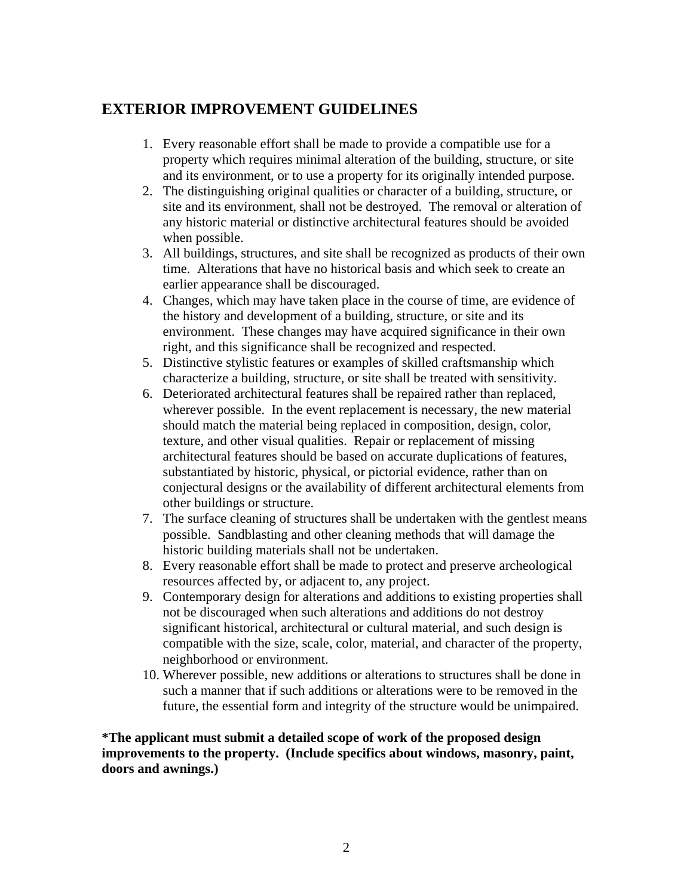## **EXTERIOR IMPROVEMENT GUIDELINES**

- 1. Every reasonable effort shall be made to provide a compatible use for a property which requires minimal alteration of the building, structure, or site and its environment, or to use a property for its originally intended purpose.
- 2. The distinguishing original qualities or character of a building, structure, or site and its environment, shall not be destroyed. The removal or alteration of any historic material or distinctive architectural features should be avoided when possible.
- 3. All buildings, structures, and site shall be recognized as products of their own time. Alterations that have no historical basis and which seek to create an earlier appearance shall be discouraged.
- 4. Changes, which may have taken place in the course of time, are evidence of the history and development of a building, structure, or site and its environment. These changes may have acquired significance in their own right, and this significance shall be recognized and respected.
- 5. Distinctive stylistic features or examples of skilled craftsmanship which characterize a building, structure, or site shall be treated with sensitivity.
- 6. Deteriorated architectural features shall be repaired rather than replaced, wherever possible. In the event replacement is necessary, the new material should match the material being replaced in composition, design, color, texture, and other visual qualities. Repair or replacement of missing architectural features should be based on accurate duplications of features, substantiated by historic, physical, or pictorial evidence, rather than on conjectural designs or the availability of different architectural elements from other buildings or structure.
- 7. The surface cleaning of structures shall be undertaken with the gentlest means possible. Sandblasting and other cleaning methods that will damage the historic building materials shall not be undertaken.
- 8. Every reasonable effort shall be made to protect and preserve archeological resources affected by, or adjacent to, any project.
- 9. Contemporary design for alterations and additions to existing properties shall not be discouraged when such alterations and additions do not destroy significant historical, architectural or cultural material, and such design is compatible with the size, scale, color, material, and character of the property, neighborhood or environment.
- 10. Wherever possible, new additions or alterations to structures shall be done in such a manner that if such additions or alterations were to be removed in the future, the essential form and integrity of the structure would be unimpaired.

**\*The applicant must submit a detailed scope of work of the proposed design improvements to the property. (Include specifics about windows, masonry, paint, doors and awnings.)**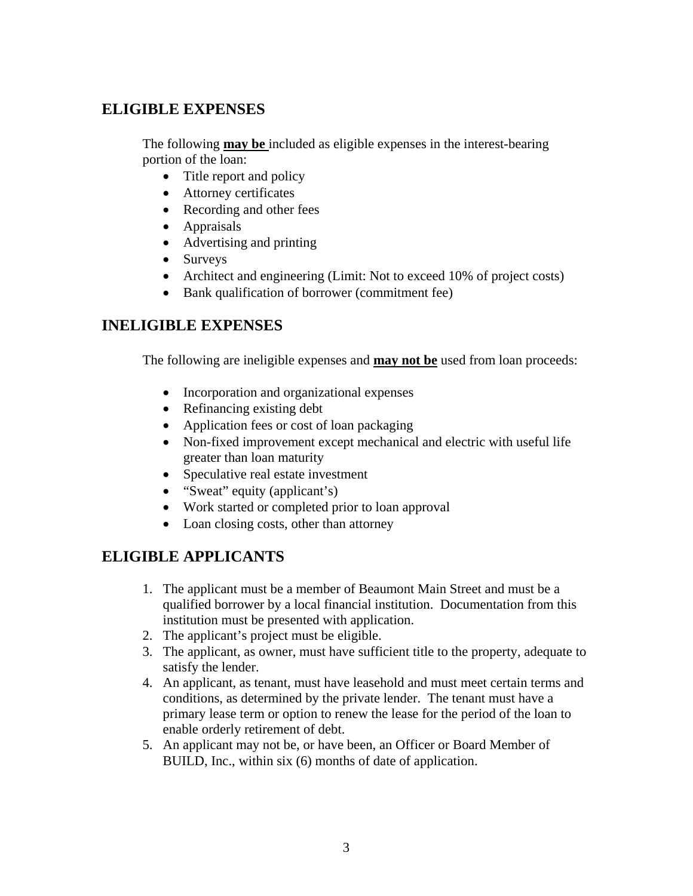#### **ELIGIBLE EXPENSES**

The following **may be** included as eligible expenses in the interest-bearing portion of the loan:

- Title report and policy
- Attorney certificates
- Recording and other fees
- Appraisals
- Advertising and printing
- Surveys
- Architect and engineering (Limit: Not to exceed 10% of project costs)
- Bank qualification of borrower (commitment fee)

## **INELIGIBLE EXPENSES**

The following are ineligible expenses and **may not be** used from loan proceeds:

- Incorporation and organizational expenses
- Refinancing existing debt
- Application fees or cost of loan packaging
- Non-fixed improvement except mechanical and electric with useful life greater than loan maturity
- Speculative real estate investment
- "Sweat" equity (applicant's)
- Work started or completed prior to loan approval
- Loan closing costs, other than attorney

## **ELIGIBLE APPLICANTS**

- 1. The applicant must be a member of Beaumont Main Street and must be a qualified borrower by a local financial institution. Documentation from this institution must be presented with application.
- 2. The applicant's project must be eligible.
- 3. The applicant, as owner, must have sufficient title to the property, adequate to satisfy the lender.
- 4. An applicant, as tenant, must have leasehold and must meet certain terms and conditions, as determined by the private lender. The tenant must have a primary lease term or option to renew the lease for the period of the loan to enable orderly retirement of debt.
- 5. An applicant may not be, or have been, an Officer or Board Member of BUILD, Inc., within six (6) months of date of application.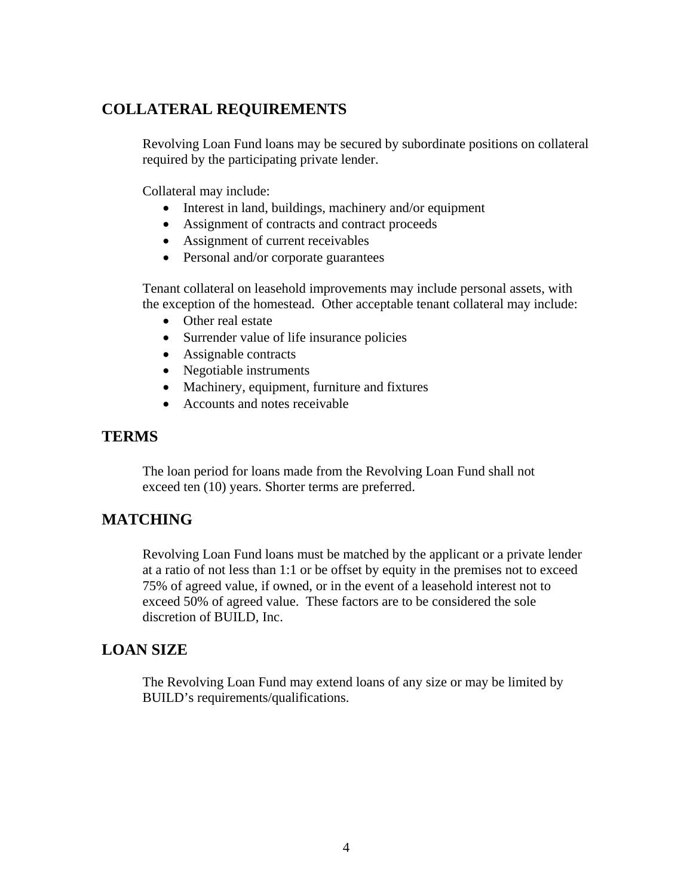#### **COLLATERAL REQUIREMENTS**

Revolving Loan Fund loans may be secured by subordinate positions on collateral required by the participating private lender.

Collateral may include:

- Interest in land, buildings, machinery and/or equipment
- Assignment of contracts and contract proceeds
- Assignment of current receivables
- Personal and/or corporate guarantees

Tenant collateral on leasehold improvements may include personal assets, with the exception of the homestead. Other acceptable tenant collateral may include:

- Other real estate
- Surrender value of life insurance policies
- Assignable contracts
- Negotiable instruments
- Machinery, equipment, furniture and fixtures
- Accounts and notes receivable

#### **TERMS**

The loan period for loans made from the Revolving Loan Fund shall not exceed ten (10) years. Shorter terms are preferred.

#### **MATCHING**

Revolving Loan Fund loans must be matched by the applicant or a private lender at a ratio of not less than 1:1 or be offset by equity in the premises not to exceed 75% of agreed value, if owned, or in the event of a leasehold interest not to exceed 50% of agreed value. These factors are to be considered the sole discretion of BUILD, Inc.

#### **LOAN SIZE**

The Revolving Loan Fund may extend loans of any size or may be limited by BUILD's requirements/qualifications.